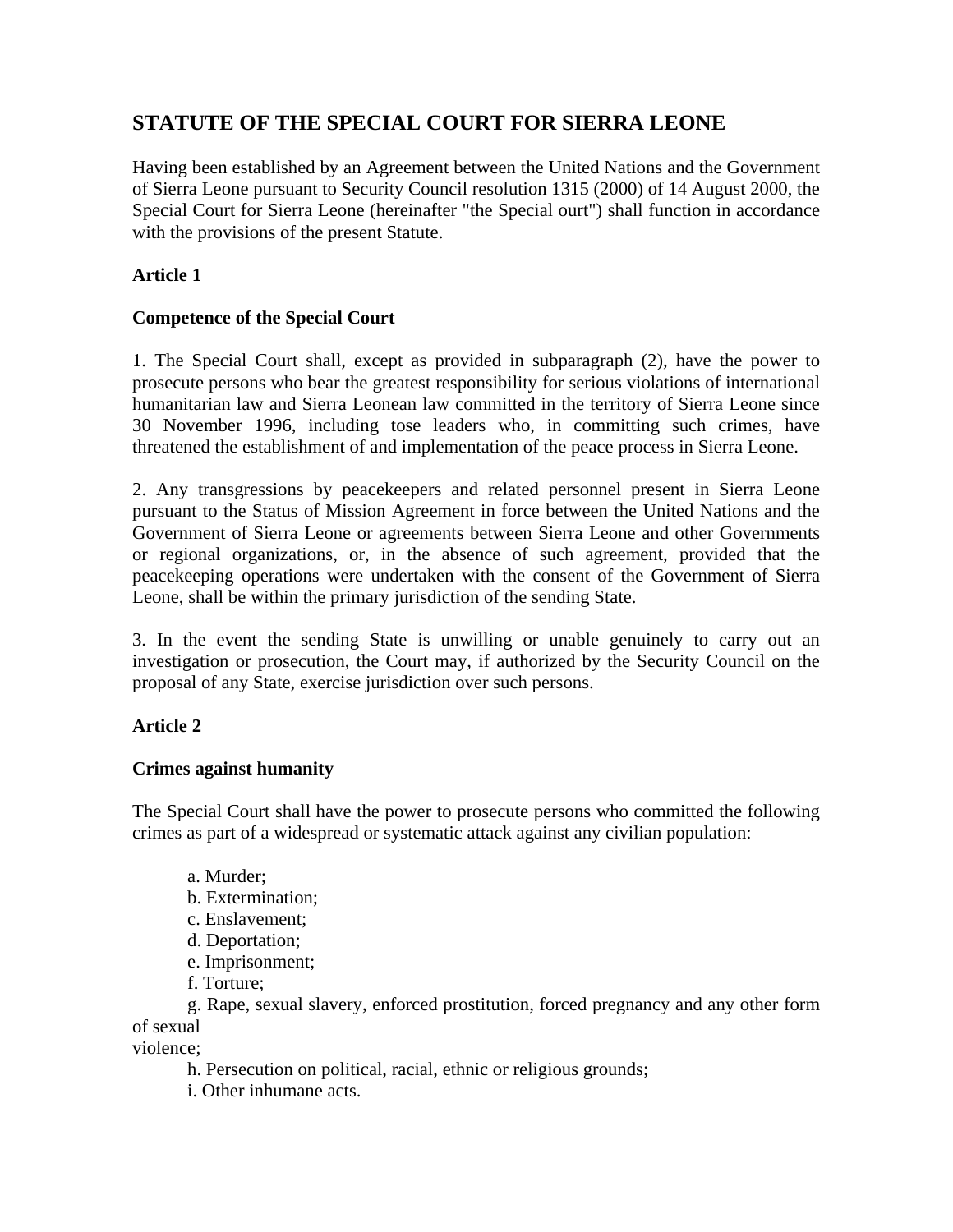# **STATUTE OF THE SPECIAL COURT FOR SIERRA LEONE**

Having been established by an Agreement between the United Nations and the Government of Sierra Leone pursuant to Security Council resolution 1315 (2000) of 14 August 2000, the Special Court for Sierra Leone (hereinafter "the Special ourt") shall function in accordance with the provisions of the present Statute.

# **Article 1**

# **Competence of the Special Court**

1. The Special Court shall, except as provided in subparagraph (2), have the power to prosecute persons who bear the greatest responsibility for serious violations of international humanitarian law and Sierra Leonean law committed in the territory of Sierra Leone since 30 November 1996, including tose leaders who, in committing such crimes, have threatened the establishment of and implementation of the peace process in Sierra Leone.

2. Any transgressions by peacekeepers and related personnel present in Sierra Leone pursuant to the Status of Mission Agreement in force between the United Nations and the Government of Sierra Leone or agreements between Sierra Leone and other Governments or regional organizations, or, in the absence of such agreement, provided that the peacekeeping operations were undertaken with the consent of the Government of Sierra Leone, shall be within the primary jurisdiction of the sending State.

3. In the event the sending State is unwilling or unable genuinely to carry out an investigation or prosecution, the Court may, if authorized by the Security Council on the proposal of any State, exercise jurisdiction over such persons.

# **Article 2**

# **Crimes against humanity**

The Special Court shall have the power to prosecute persons who committed the following crimes as part of a widespread or systematic attack against any civilian population:

- a. Murder;
- b. Extermination;
- c. Enslavement;
- d. Deportation;
- e. Imprisonment;

f. Torture;

g. Rape, sexual slavery, enforced prostitution, forced pregnancy and any other form of sexual

violence;

h. Persecution on political, racial, ethnic or religious grounds;

i. Other inhumane acts.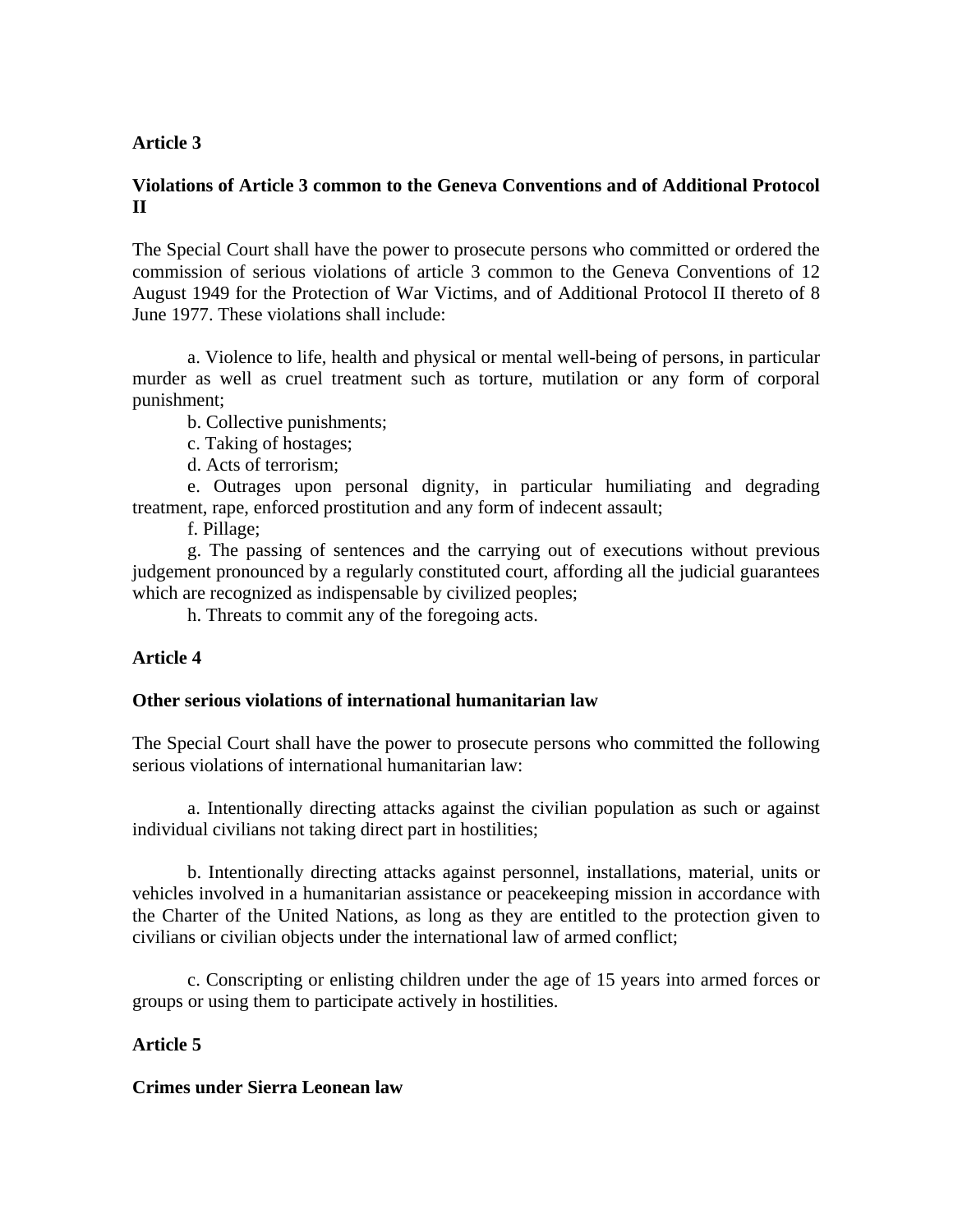## **Article 3**

### **Violations of Article 3 common to the Geneva Conventions and of Additional Protocol II**

The Special Court shall have the power to prosecute persons who committed or ordered the commission of serious violations of article 3 common to the Geneva Conventions of 12 August 1949 for the Protection of War Victims, and of Additional Protocol II thereto of 8 June 1977. These violations shall include:

a. Violence to life, health and physical or mental well-being of persons, in particular murder as well as cruel treatment such as torture, mutilation or any form of corporal punishment;

b. Collective punishments;

c. Taking of hostages;

d. Acts of terrorism;

e. Outrages upon personal dignity, in particular humiliating and degrading treatment, rape, enforced prostitution and any form of indecent assault;

f. Pillage;

g. The passing of sentences and the carrying out of executions without previous judgement pronounced by a regularly constituted court, affording all the judicial guarantees which are recognized as indispensable by civilized peoples;

h. Threats to commit any of the foregoing acts.

#### **Article 4**

#### **Other serious violations of international humanitarian law**

The Special Court shall have the power to prosecute persons who committed the following serious violations of international humanitarian law:

a. Intentionally directing attacks against the civilian population as such or against individual civilians not taking direct part in hostilities;

b. Intentionally directing attacks against personnel, installations, material, units or vehicles involved in a humanitarian assistance or peacekeeping mission in accordance with the Charter of the United Nations, as long as they are entitled to the protection given to civilians or civilian objects under the international law of armed conflict;

c. Conscripting or enlisting children under the age of 15 years into armed forces or groups or using them to participate actively in hostilities.

## **Article 5**

#### **Crimes under Sierra Leonean law**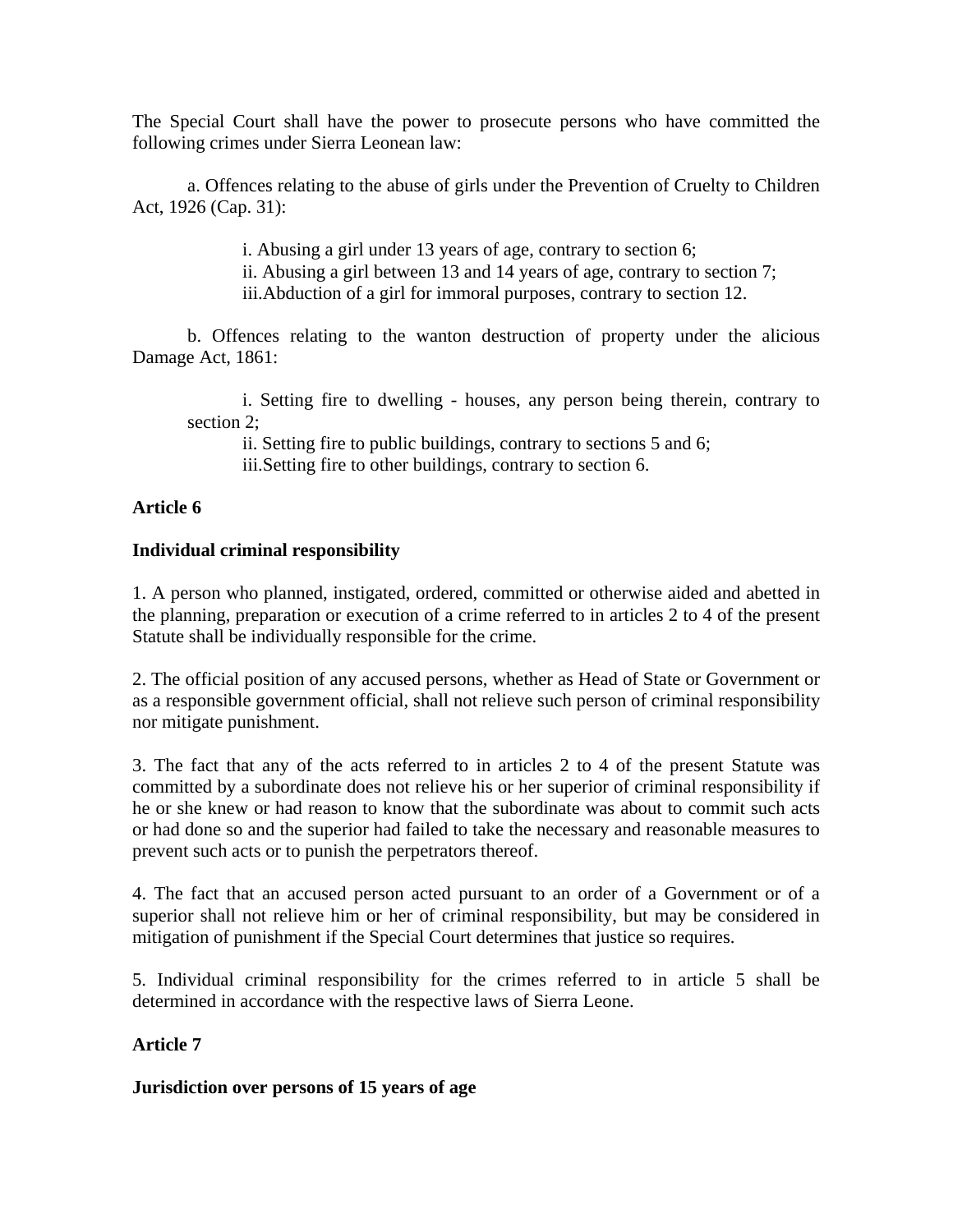The Special Court shall have the power to prosecute persons who have committed the following crimes under Sierra Leonean law:

a. Offences relating to the abuse of girls under the Prevention of Cruelty to Children Act, 1926 (Cap. 31):

> i. Abusing a girl under 13 years of age, contrary to section 6; ii. Abusing a girl between 13 and 14 years of age, contrary to section 7; iii.Abduction of a girl for immoral purposes, contrary to section 12.

b. Offences relating to the wanton destruction of property under the alicious Damage Act, 1861:

i. Setting fire to dwelling - houses, any person being therein, contrary to section 2;

ii. Setting fire to public buildings, contrary to sections 5 and 6; iii.Setting fire to other buildings, contrary to section 6.

# **Article 6**

# **Individual criminal responsibility**

1. A person who planned, instigated, ordered, committed or otherwise aided and abetted in the planning, preparation or execution of a crime referred to in articles 2 to 4 of the present Statute shall be individually responsible for the crime.

2. The official position of any accused persons, whether as Head of State or Government or as a responsible government official, shall not relieve such person of criminal responsibility nor mitigate punishment.

3. The fact that any of the acts referred to in articles 2 to 4 of the present Statute was committed by a subordinate does not relieve his or her superior of criminal responsibility if he or she knew or had reason to know that the subordinate was about to commit such acts or had done so and the superior had failed to take the necessary and reasonable measures to prevent such acts or to punish the perpetrators thereof.

4. The fact that an accused person acted pursuant to an order of a Government or of a superior shall not relieve him or her of criminal responsibility, but may be considered in mitigation of punishment if the Special Court determines that justice so requires.

5. Individual criminal responsibility for the crimes referred to in article 5 shall be determined in accordance with the respective laws of Sierra Leone.

# **Article 7**

# **Jurisdiction over persons of 15 years of age**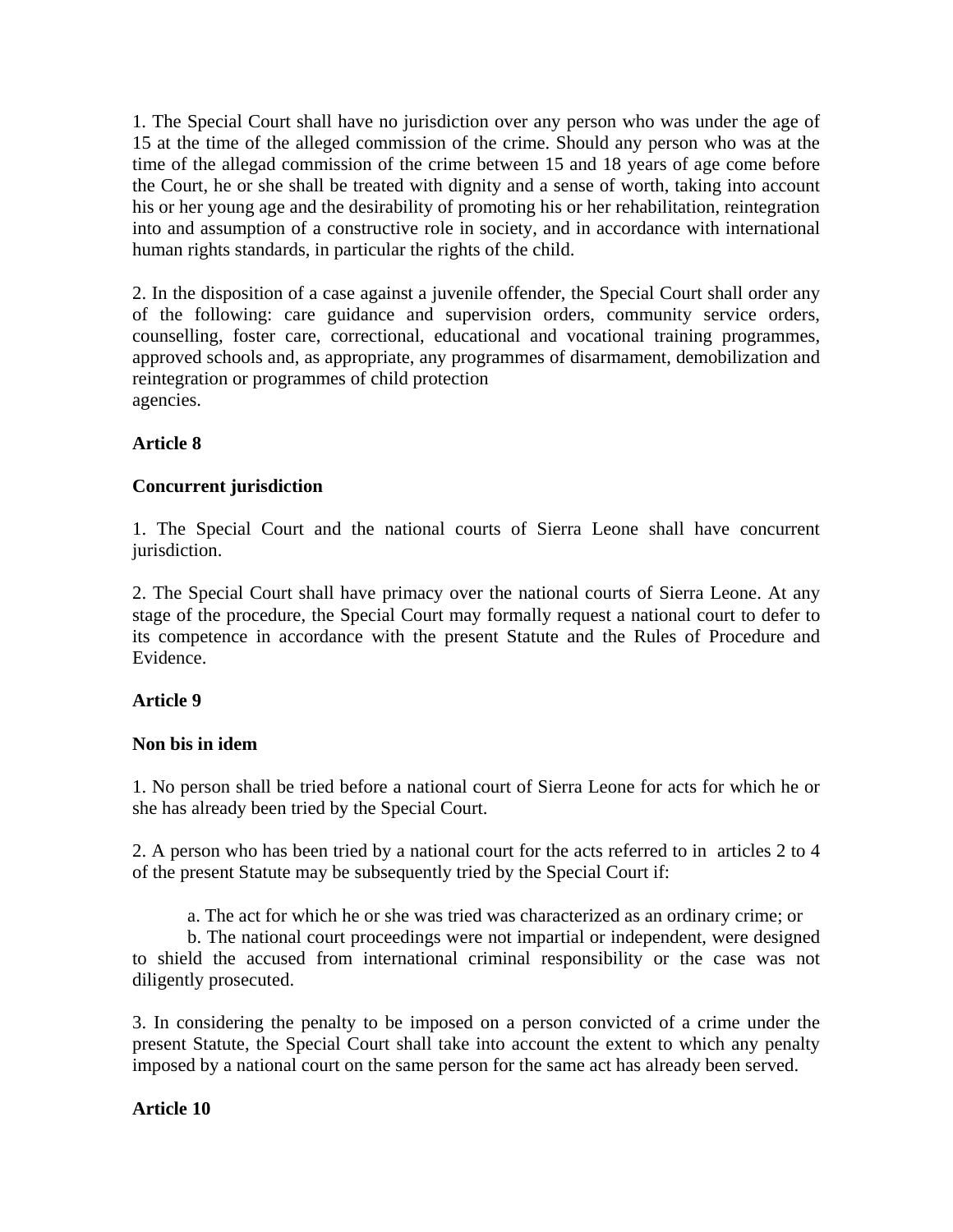1. The Special Court shall have no jurisdiction over any person who was under the age of 15 at the time of the alleged commission of the crime. Should any person who was at the time of the allegad commission of the crime between 15 and 18 years of age come before the Court, he or she shall be treated with dignity and a sense of worth, taking into account his or her young age and the desirability of promoting his or her rehabilitation, reintegration into and assumption of a constructive role in society, and in accordance with international human rights standards, in particular the rights of the child.

2. In the disposition of a case against a juvenile offender, the Special Court shall order any of the following: care guidance and supervision orders, community service orders, counselling, foster care, correctional, educational and vocational training programmes, approved schools and, as appropriate, any programmes of disarmament, demobilization and reintegration or programmes of child protection agencies.

# **Article 8**

# **Concurrent jurisdiction**

1. The Special Court and the national courts of Sierra Leone shall have concurrent jurisdiction.

2. The Special Court shall have primacy over the national courts of Sierra Leone. At any stage of the procedure, the Special Court may formally request a national court to defer to its competence in accordance with the present Statute and the Rules of Procedure and Evidence.

# **Article 9**

# **Non bis in idem**

1. No person shall be tried before a national court of Sierra Leone for acts for which he or she has already been tried by the Special Court.

2. A person who has been tried by a national court for the acts referred to in articles 2 to 4 of the present Statute may be subsequently tried by the Special Court if:

a. The act for which he or she was tried was characterized as an ordinary crime; or

b. The national court proceedings were not impartial or independent, were designed to shield the accused from international criminal responsibility or the case was not diligently prosecuted.

3. In considering the penalty to be imposed on a person convicted of a crime under the present Statute, the Special Court shall take into account the extent to which any penalty imposed by a national court on the same person for the same act has already been served.

# **Article 10**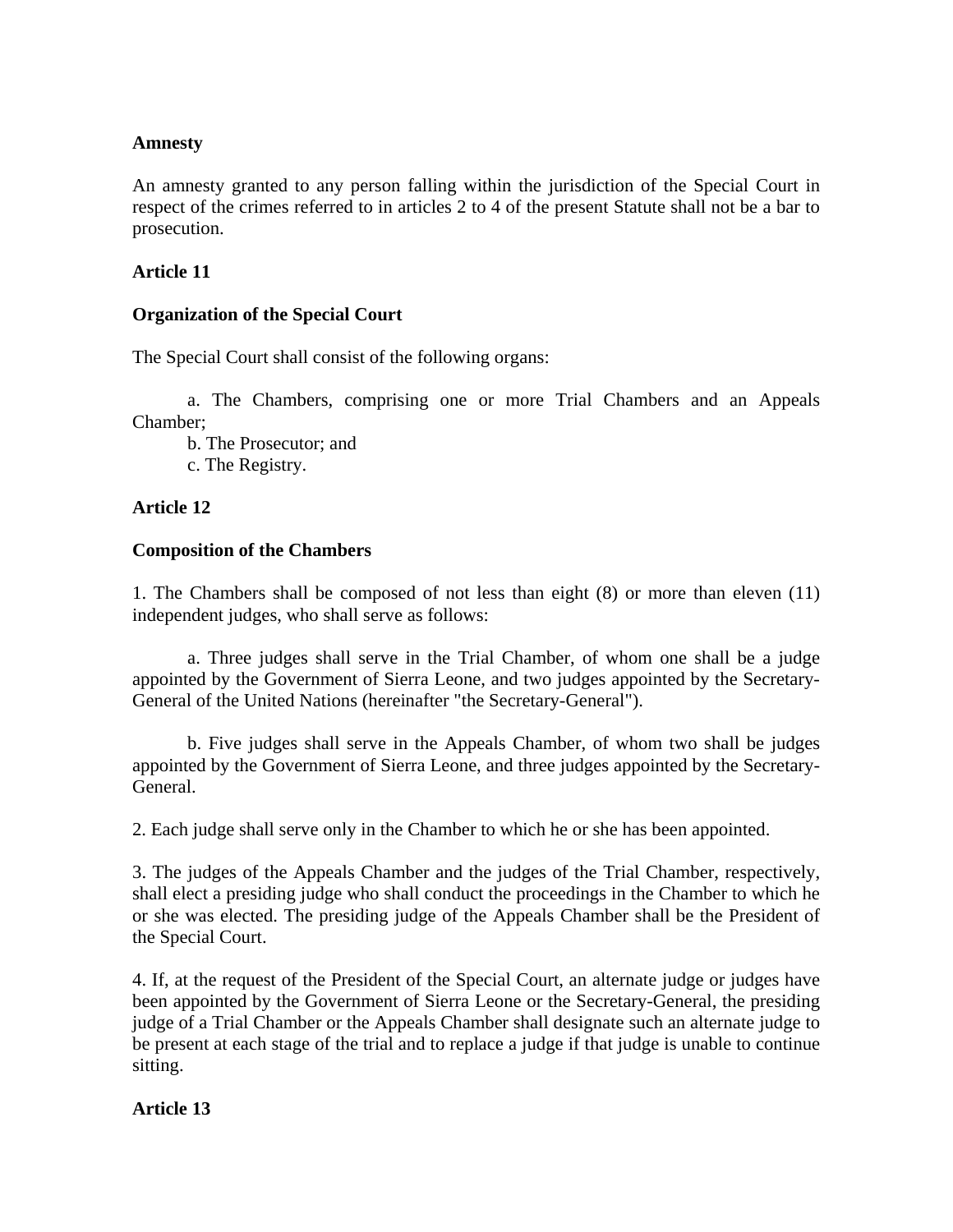### **Amnesty**

An amnesty granted to any person falling within the jurisdiction of the Special Court in respect of the crimes referred to in articles 2 to 4 of the present Statute shall not be a bar to prosecution.

# **Article 11**

## **Organization of the Special Court**

The Special Court shall consist of the following organs:

a. The Chambers, comprising one or more Trial Chambers and an Appeals Chamber;

b. The Prosecutor; and

c. The Registry.

## **Article 12**

## **Composition of the Chambers**

1. The Chambers shall be composed of not less than eight (8) or more than eleven (11) independent judges, who shall serve as follows:

a. Three judges shall serve in the Trial Chamber, of whom one shall be a judge appointed by the Government of Sierra Leone, and two judges appointed by the Secretary-General of the United Nations (hereinafter "the Secretary-General").

b. Five judges shall serve in the Appeals Chamber, of whom two shall be judges appointed by the Government of Sierra Leone, and three judges appointed by the Secretary-General.

2. Each judge shall serve only in the Chamber to which he or she has been appointed.

3. The judges of the Appeals Chamber and the judges of the Trial Chamber, respectively, shall elect a presiding judge who shall conduct the proceedings in the Chamber to which he or she was elected. The presiding judge of the Appeals Chamber shall be the President of the Special Court.

4. If, at the request of the President of the Special Court, an alternate judge or judges have been appointed by the Government of Sierra Leone or the Secretary-General, the presiding judge of a Trial Chamber or the Appeals Chamber shall designate such an alternate judge to be present at each stage of the trial and to replace a judge if that judge is unable to continue sitting.

#### **Article 13**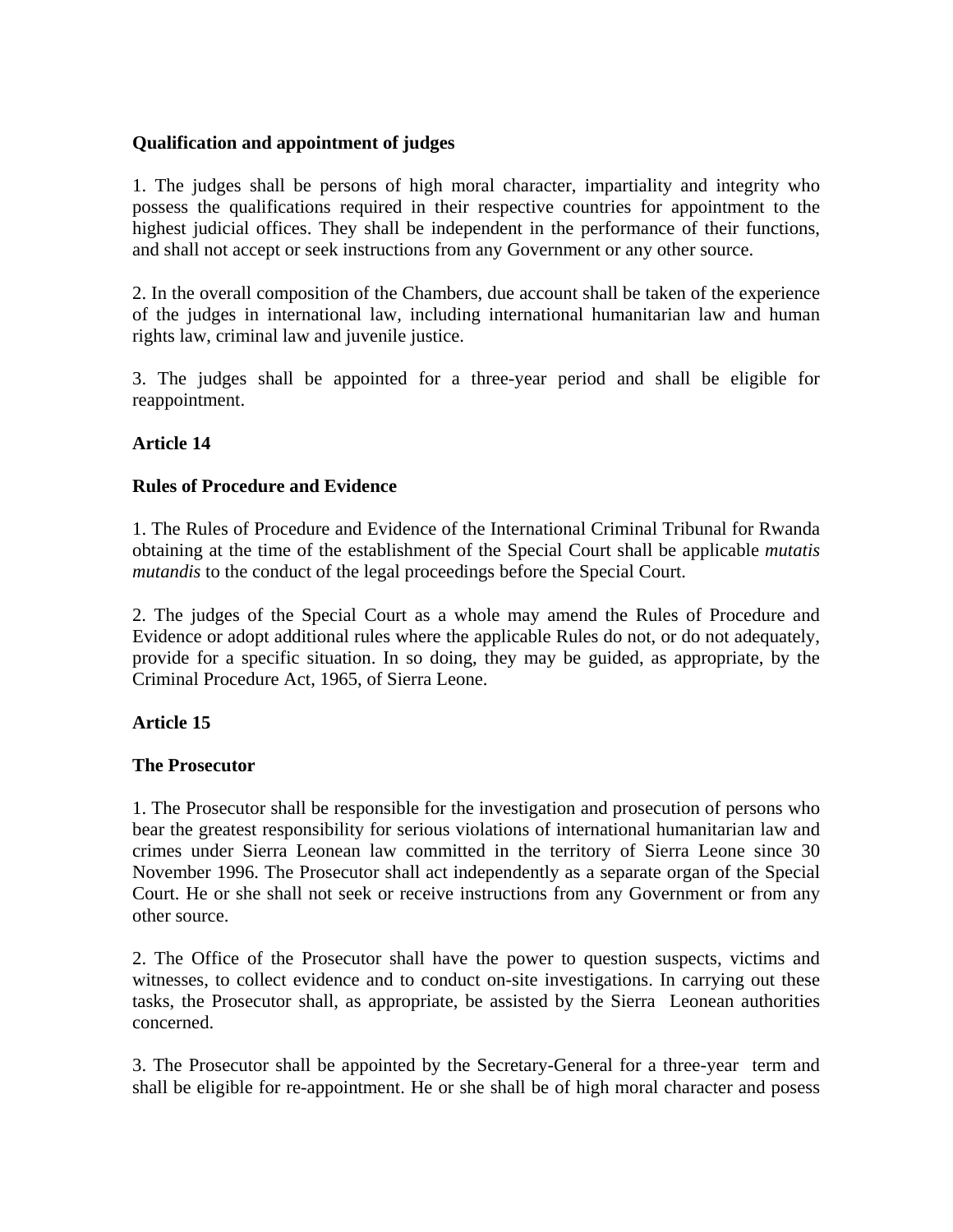## **Qualification and appointment of judges**

1. The judges shall be persons of high moral character, impartiality and integrity who possess the qualifications required in their respective countries for appointment to the highest judicial offices. They shall be independent in the performance of their functions, and shall not accept or seek instructions from any Government or any other source.

2. In the overall composition of the Chambers, due account shall be taken of the experience of the judges in international law, including international humanitarian law and human rights law, criminal law and juvenile justice.

3. The judges shall be appointed for a three-year period and shall be eligible for reappointment.

## **Article 14**

## **Rules of Procedure and Evidence**

1. The Rules of Procedure and Evidence of the International Criminal Tribunal for Rwanda obtaining at the time of the establishment of the Special Court shall be applicable *mutatis mutandis* to the conduct of the legal proceedings before the Special Court.

2. The judges of the Special Court as a whole may amend the Rules of Procedure and Evidence or adopt additional rules where the applicable Rules do not, or do not adequately, provide for a specific situation. In so doing, they may be guided, as appropriate, by the Criminal Procedure Act, 1965, of Sierra Leone.

#### **Article 15**

#### **The Prosecutor**

1. The Prosecutor shall be responsible for the investigation and prosecution of persons who bear the greatest responsibility for serious violations of international humanitarian law and crimes under Sierra Leonean law committed in the territory of Sierra Leone since 30 November 1996. The Prosecutor shall act independently as a separate organ of the Special Court. He or she shall not seek or receive instructions from any Government or from any other source.

2. The Office of the Prosecutor shall have the power to question suspects, victims and witnesses, to collect evidence and to conduct on-site investigations. In carrying out these tasks, the Prosecutor shall, as appropriate, be assisted by the Sierra Leonean authorities concerned.

3. The Prosecutor shall be appointed by the Secretary-General for a three-year term and shall be eligible for re-appointment. He or she shall be of high moral character and posess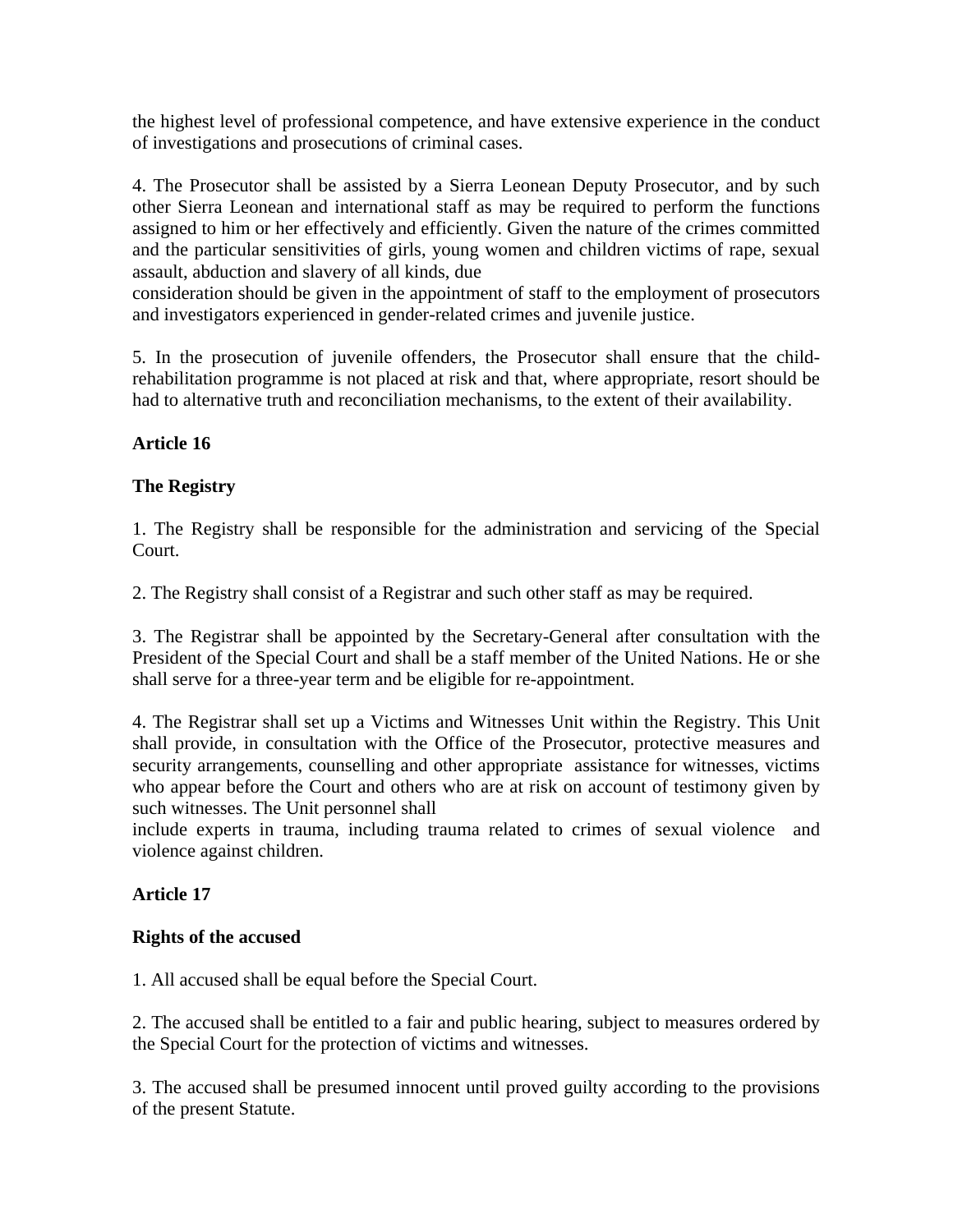the highest level of professional competence, and have extensive experience in the conduct of investigations and prosecutions of criminal cases.

4. The Prosecutor shall be assisted by a Sierra Leonean Deputy Prosecutor, and by such other Sierra Leonean and international staff as may be required to perform the functions assigned to him or her effectively and efficiently. Given the nature of the crimes committed and the particular sensitivities of girls, young women and children victims of rape, sexual assault, abduction and slavery of all kinds, due

consideration should be given in the appointment of staff to the employment of prosecutors and investigators experienced in gender-related crimes and juvenile justice.

5. In the prosecution of juvenile offenders, the Prosecutor shall ensure that the childrehabilitation programme is not placed at risk and that, where appropriate, resort should be had to alternative truth and reconciliation mechanisms, to the extent of their availability.

# **Article 16**

# **The Registry**

1. The Registry shall be responsible for the administration and servicing of the Special Court.

2. The Registry shall consist of a Registrar and such other staff as may be required.

3. The Registrar shall be appointed by the Secretary-General after consultation with the President of the Special Court and shall be a staff member of the United Nations. He or she shall serve for a three-year term and be eligible for re-appointment.

4. The Registrar shall set up a Victims and Witnesses Unit within the Registry. This Unit shall provide, in consultation with the Office of the Prosecutor, protective measures and security arrangements, counselling and other appropriate assistance for witnesses, victims who appear before the Court and others who are at risk on account of testimony given by such witnesses. The Unit personnel shall

include experts in trauma, including trauma related to crimes of sexual violence and violence against children.

# **Article 17**

#### **Rights of the accused**

1. All accused shall be equal before the Special Court.

2. The accused shall be entitled to a fair and public hearing, subject to measures ordered by the Special Court for the protection of victims and witnesses.

3. The accused shall be presumed innocent until proved guilty according to the provisions of the present Statute.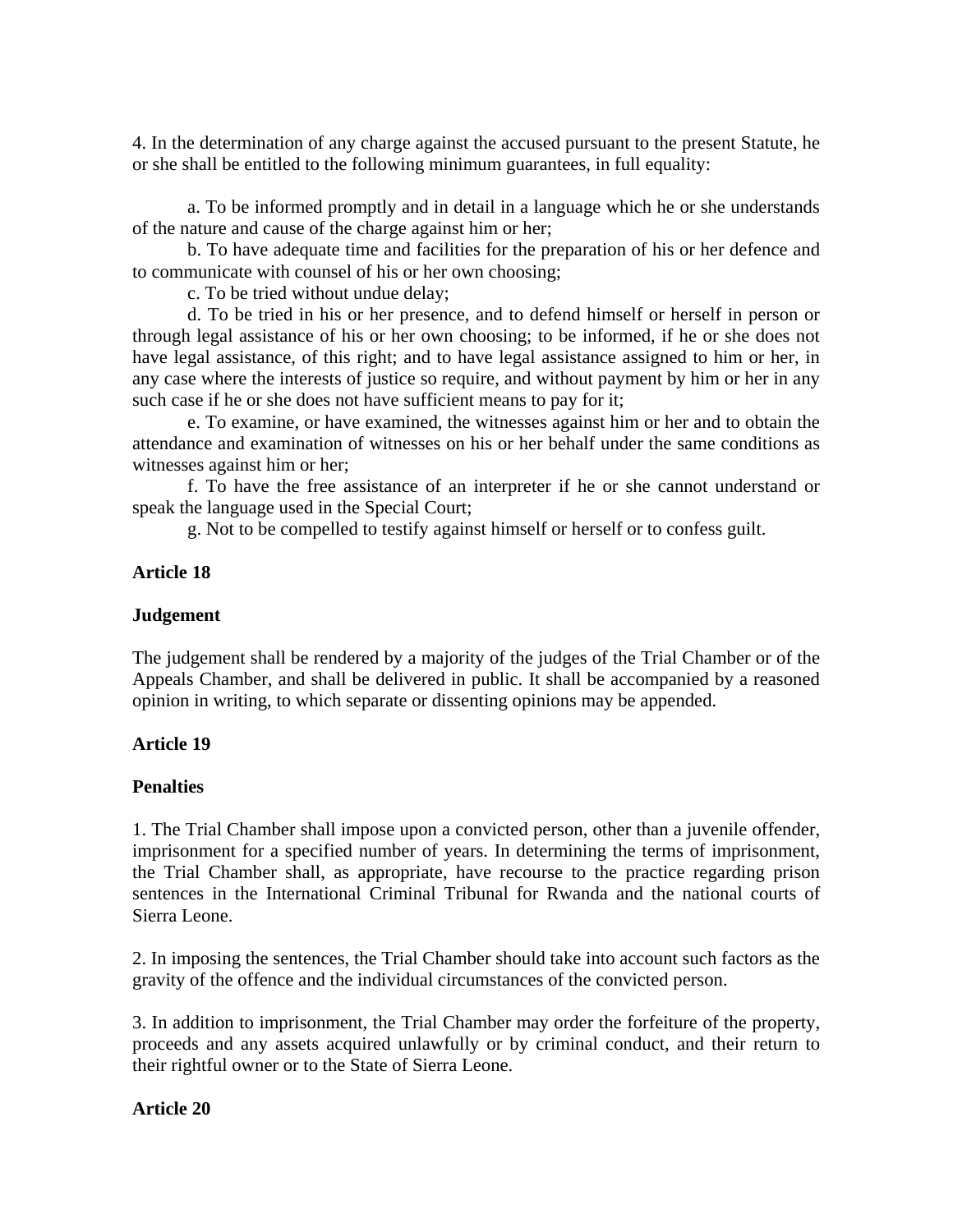4. In the determination of any charge against the accused pursuant to the present Statute, he or she shall be entitled to the following minimum guarantees, in full equality:

a. To be informed promptly and in detail in a language which he or she understands of the nature and cause of the charge against him or her;

b. To have adequate time and facilities for the preparation of his or her defence and to communicate with counsel of his or her own choosing;

c. To be tried without undue delay;

d. To be tried in his or her presence, and to defend himself or herself in person or through legal assistance of his or her own choosing; to be informed, if he or she does not have legal assistance, of this right; and to have legal assistance assigned to him or her, in any case where the interests of justice so require, and without payment by him or her in any such case if he or she does not have sufficient means to pay for it;

e. To examine, or have examined, the witnesses against him or her and to obtain the attendance and examination of witnesses on his or her behalf under the same conditions as witnesses against him or her;

f. To have the free assistance of an interpreter if he or she cannot understand or speak the language used in the Special Court;

g. Not to be compelled to testify against himself or herself or to confess guilt.

#### **Article 18**

#### **Judgement**

The judgement shall be rendered by a majority of the judges of the Trial Chamber or of the Appeals Chamber, and shall be delivered in public. It shall be accompanied by a reasoned opinion in writing, to which separate or dissenting opinions may be appended.

#### **Article 19**

#### **Penalties**

1. The Trial Chamber shall impose upon a convicted person, other than a juvenile offender, imprisonment for a specified number of years. In determining the terms of imprisonment, the Trial Chamber shall, as appropriate, have recourse to the practice regarding prison sentences in the International Criminal Tribunal for Rwanda and the national courts of Sierra Leone.

2. In imposing the sentences, the Trial Chamber should take into account such factors as the gravity of the offence and the individual circumstances of the convicted person.

3. In addition to imprisonment, the Trial Chamber may order the forfeiture of the property, proceeds and any assets acquired unlawfully or by criminal conduct, and their return to their rightful owner or to the State of Sierra Leone.

#### **Article 20**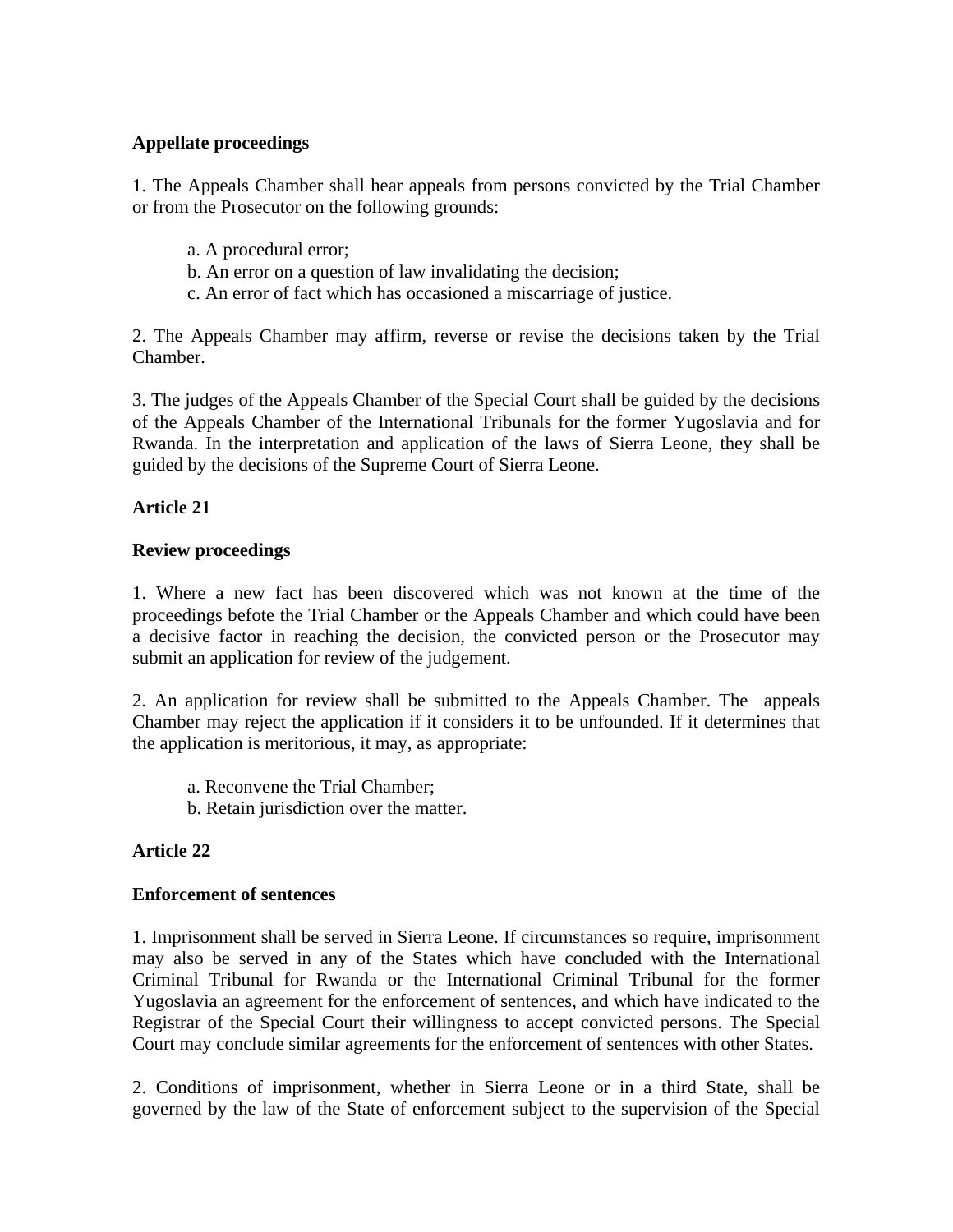# **Appellate proceedings**

1. The Appeals Chamber shall hear appeals from persons convicted by the Trial Chamber or from the Prosecutor on the following grounds:

- a. A procedural error;
- b. An error on a question of law invalidating the decision;
- c. An error of fact which has occasioned a miscarriage of justice.

2. The Appeals Chamber may affirm, reverse or revise the decisions taken by the Trial Chamber.

3. The judges of the Appeals Chamber of the Special Court shall be guided by the decisions of the Appeals Chamber of the International Tribunals for the former Yugoslavia and for Rwanda. In the interpretation and application of the laws of Sierra Leone, they shall be guided by the decisions of the Supreme Court of Sierra Leone.

# **Article 21**

## **Review proceedings**

1. Where a new fact has been discovered which was not known at the time of the proceedings befote the Trial Chamber or the Appeals Chamber and which could have been a decisive factor in reaching the decision, the convicted person or the Prosecutor may submit an application for review of the judgement.

2. An application for review shall be submitted to the Appeals Chamber. The appeals Chamber may reject the application if it considers it to be unfounded. If it determines that the application is meritorious, it may, as appropriate:

- a. Reconvene the Trial Chamber;
- b. Retain jurisdiction over the matter.

# **Article 22**

#### **Enforcement of sentences**

1. Imprisonment shall be served in Sierra Leone. If circumstances so require, imprisonment may also be served in any of the States which have concluded with the International Criminal Tribunal for Rwanda or the International Criminal Tribunal for the former Yugoslavia an agreement for the enforcement of sentences, and which have indicated to the Registrar of the Special Court their willingness to accept convicted persons. The Special Court may conclude similar agreements for the enforcement of sentences with other States.

2. Conditions of imprisonment, whether in Sierra Leone or in a third State, shall be governed by the law of the State of enforcement subject to the supervision of the Special